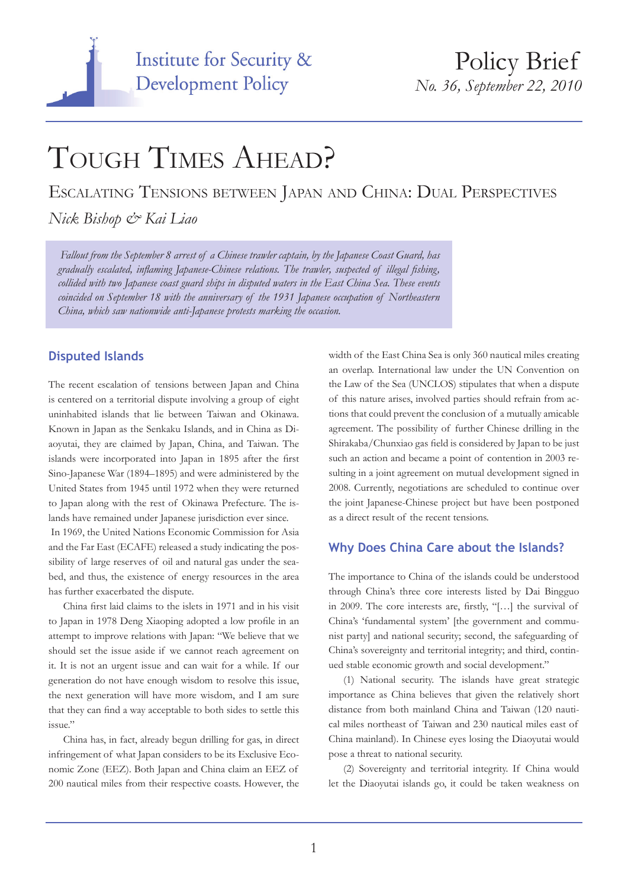

# TOUGH TIMES AHEAD?

Escalating Tensions between Japan and China: Dual Perspectives

*Nick Bishop & Kai Liao*

 *Fallout from the September 8 arrest of a Chinese trawler captain, by the Japanese Coast Guard, has gradually escalated, inflaming Japanese-Chinese relations. The trawler, suspected of illegal fishing, collided with two Japanese coast guard ships in disputed waters in the East China Sea. These events coincided on September 18 with the anniversary of the 1931 Japanese occupation of Northeastern China, which saw nationwide anti-Japanese protests marking the occasion.*

### **Disputed Islands**

The recent escalation of tensions between Japan and China is centered on a territorial dispute involving a group of eight uninhabited islands that lie between Taiwan and Okinawa. Known in Japan as the Senkaku Islands, and in China as Diaoyutai, they are claimed by Japan, China, and Taiwan. The islands were incorporated into Japan in 1895 after the first Sino-Japanese War (1894–1895) and were administered by the United States from 1945 until 1972 when they were returned to Japan along with the rest of Okinawa Prefecture. The islands have remained under Japanese jurisdiction ever since.

 In 1969, the United Nations Economic Commission for Asia and the Far East (ECAFE) released a study indicating the possibility of large reserves of oil and natural gas under the seabed, and thus, the existence of energy resources in the area has further exacerbated the dispute.

China first laid claims to the islets in 1971 and in his visit to Japan in 1978 Deng Xiaoping adopted a low profile in an attempt to improve relations with Japan: "We believe that we should set the issue aside if we cannot reach agreement on it. It is not an urgent issue and can wait for a while. If our generation do not have enough wisdom to resolve this issue, the next generation will have more wisdom, and I am sure that they can find a way acceptable to both sides to settle this issue."

China has, in fact, already begun drilling for gas, in direct infringement of what Japan considers to be its Exclusive Economic Zone (EEZ). Both Japan and China claim an EEZ of 200 nautical miles from their respective coasts. However, the width of the East China Sea is only 360 nautical miles creating an overlap. International law under the UN Convention on the Law of the Sea (UNCLOS) stipulates that when a dispute of this nature arises, involved parties should refrain from actions that could prevent the conclusion of a mutually amicable agreement. The possibility of further Chinese drilling in the Shirakaba/Chunxiao gas field is considered by Japan to be just such an action and became a point of contention in 2003 resulting in a joint agreement on mutual development signed in 2008. Currently, negotiations are scheduled to continue over the joint Japanese-Chinese project but have been postponed as a direct result of the recent tensions.

## **Why Does China Care about the Islands?**

The importance to China of the islands could be understood through China's three core interests listed by Dai Bingguo in 2009. The core interests are, firstly, "[…] the survival of China's 'fundamental system' [the government and communist party] and national security; second, the safeguarding of China's sovereignty and territorial integrity; and third, continued stable economic growth and social development."

(1) National security. The islands have great strategic importance as China believes that given the relatively short distance from both mainland China and Taiwan (120 nautical miles northeast of Taiwan and 230 nautical miles east of China mainland). In Chinese eyes losing the Diaoyutai would pose a threat to national security.

(2) Sovereignty and territorial integrity. If China would let the Diaoyutai islands go, it could be taken weakness on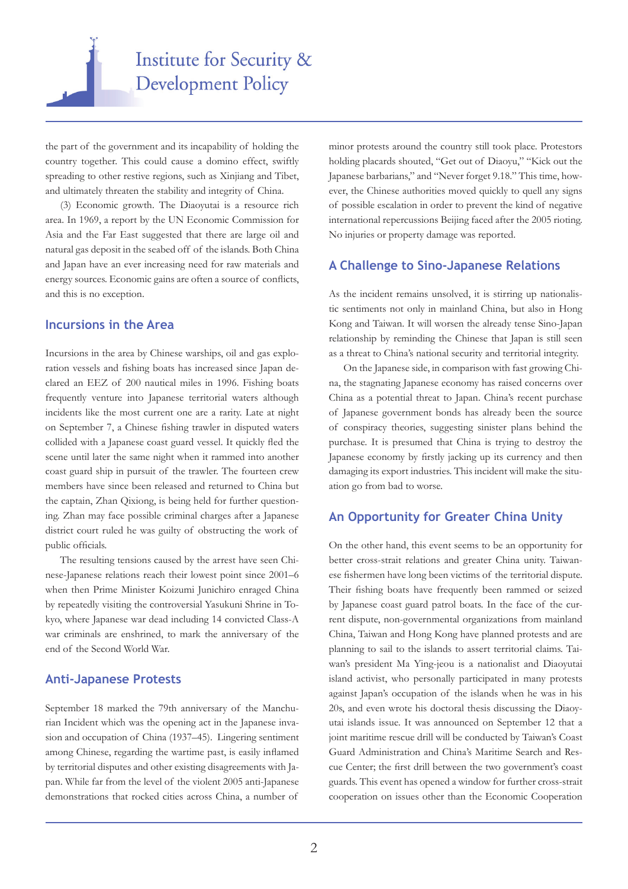

the part of the government and its incapability of holding the country together. This could cause a domino effect, swiftly spreading to other restive regions, such as Xinjiang and Tibet, and ultimately threaten the stability and integrity of China.

(3) Economic growth. The Diaoyutai is a resource rich area. In 1969, a report by the UN Economic Commission for Asia and the Far East suggested that there are large oil and natural gas deposit in the seabed off of the islands. Both China and Japan have an ever increasing need for raw materials and energy sources. Economic gains are often a source of conflicts, and this is no exception.

#### **Incursions in the Area**

Incursions in the area by Chinese warships, oil and gas exploration vessels and fishing boats has increased since Japan declared an EEZ of 200 nautical miles in 1996. Fishing boats frequently venture into Japanese territorial waters although incidents like the most current one are a rarity. Late at night on September 7, a Chinese fishing trawler in disputed waters collided with a Japanese coast guard vessel. It quickly fled the scene until later the same night when it rammed into another coast guard ship in pursuit of the trawler. The fourteen crew members have since been released and returned to China but the captain, Zhan Qixiong, is being held for further questioning. Zhan may face possible criminal charges after a Japanese district court ruled he was guilty of obstructing the work of public officials.

The resulting tensions caused by the arrest have seen Chinese-Japanese relations reach their lowest point since 2001–6 when then Prime Minister Koizumi Junichiro enraged China by repeatedly visiting the controversial Yasukuni Shrine in Tokyo, where Japanese war dead including 14 convicted Class-A war criminals are enshrined, to mark the anniversary of the end of the Second World War.

#### **Anti-Japanese Protests**

September 18 marked the 79th anniversary of the Manchurian Incident which was the opening act in the Japanese invasion and occupation of China (1937–45). Lingering sentiment among Chinese, regarding the wartime past, is easily inflamed by territorial disputes and other existing disagreements with Japan. While far from the level of the violent 2005 anti-Japanese demonstrations that rocked cities across China, a number of

minor protests around the country still took place. Protestors holding placards shouted, "Get out of Diaoyu," "Kick out the Japanese barbarians," and "Never forget 9.18." This time, however, the Chinese authorities moved quickly to quell any signs of possible escalation in order to prevent the kind of negative international repercussions Beijing faced after the 2005 rioting. No injuries or property damage was reported.

#### **A Challenge to Sino-Japanese Relations**

As the incident remains unsolved, it is stirring up nationalistic sentiments not only in mainland China, but also in Hong Kong and Taiwan. It will worsen the already tense Sino-Japan relationship by reminding the Chinese that Japan is still seen as a threat to China's national security and territorial integrity.

On the Japanese side, in comparison with fast growing China, the stagnating Japanese economy has raised concerns over China as a potential threat to Japan. China's recent purchase of Japanese government bonds has already been the source of conspiracy theories, suggesting sinister plans behind the purchase. It is presumed that China is trying to destroy the Japanese economy by firstly jacking up its currency and then damaging its export industries. This incident will make the situation go from bad to worse.

#### **An Opportunity for Greater China Unity**

On the other hand, this event seems to be an opportunity for better cross-strait relations and greater China unity. Taiwanese fishermen have long been victims of the territorial dispute. Their fishing boats have frequently been rammed or seized by Japanese coast guard patrol boats. In the face of the current dispute, non-governmental organizations from mainland China, Taiwan and Hong Kong have planned protests and are planning to sail to the islands to assert territorial claims. Taiwan's president Ma Ying-jeou is a nationalist and Diaoyutai island activist, who personally participated in many protests against Japan's occupation of the islands when he was in his 20s, and even wrote his doctoral thesis discussing the Diaoyutai islands issue. It was announced on September 12 that a joint maritime rescue drill will be conducted by Taiwan's Coast Guard Administration and China's Maritime Search and Rescue Center; the first drill between the two government's coast guards. This event has opened a window for further cross-strait cooperation on issues other than the Economic Cooperation